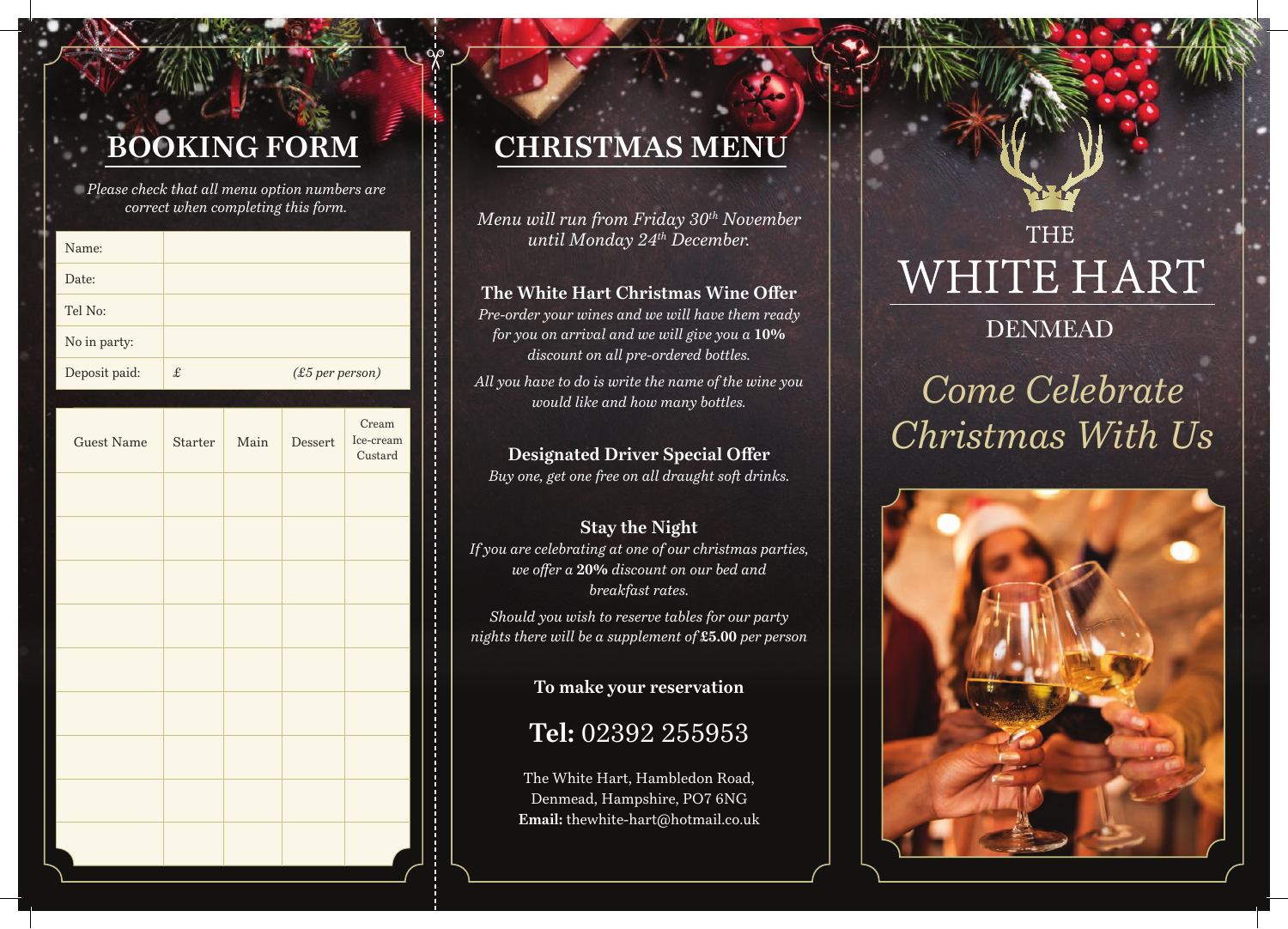# **BOOKING FORM**

*Please check that all menu option numbers are correct when completing this form.*

| Name:             |           |      |                   |                               |
|-------------------|-----------|------|-------------------|-------------------------------|
| Date:             |           |      |                   |                               |
| Tel No:           |           |      |                   |                               |
| No in party:      |           |      |                   |                               |
| Deposit paid:     | $\pounds$ |      | $(E5$ per person) |                               |
|                   |           |      |                   |                               |
| <b>Guest Name</b> | Starter   | Main | Dessert           | Cream<br>Ice-cream<br>Custard |
|                   |           |      |                   |                               |
|                   |           |      |                   |                               |
|                   |           |      |                   |                               |
|                   |           |      |                   |                               |
|                   |           |      |                   |                               |
|                   |           |      |                   |                               |
|                   |           |      |                   |                               |
|                   |           |      |                   |                               |
|                   |           |      |                   |                               |

## **CHRISTMAS MENU**

*Menu will run from Friday 30th November until Monday 24th December.*

### **The White Hart Christmas Wine Offer**

*Pre-order your wines and we will have them ready for you on arrival and we will give you a* **10%**  *discount on all pre-ordered bottles.* 

*All you have to do is write the name of the wine you would like and how many bottles.*

### **Designated Driver Special Offer**

*Buy one, get one free on all draught soft drinks.*

### **Stay the Night**

*If you are celebrating at one of our christmas parties, we offer a* **20%** *discount on our bed and breakfast rates.*

*Should you wish to reserve tables for our party nights there will be a supplement of* **£5.00** *per person*

**To make your reservation**

## **Tel:** 02392 255953

The White Hart, Hambledon Road, Denmead, Hampshire, PO7 6NG **Email:** thewhite-hart@hotmail.co.uk

# **THE** WHITE HART

### **DENMEAD**

# *Come Celebrate Christmas With Us*